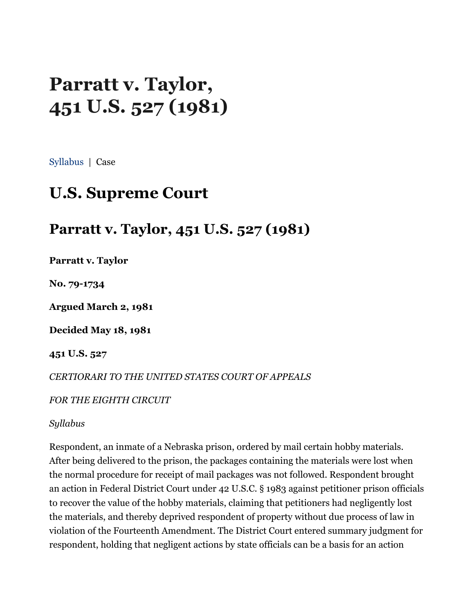# Parratt v. Taylor, 451 U.S. 527 (1981)

[Syllabus](https://supreme.justia.com/cases/federal/us/451/527/index.html) | Case

## U.S. Supreme Court

## Parratt v. Taylor, 451 U.S. 527 (1981)

Parratt v. Taylor

No. 79-1734

Argued March 2, 1981

Decided May 18, 1981

451 U.S. 527

*CERTIORARI TO THE UNITED STATES COURT OF APPEALS*

*FOR THE EIGHTH CIRCUIT*

*Syllabus*

Respondent, an inmate of a Nebraska prison, ordered by mail certain hobby materials. After being delivered to the prison, the packages containing the materials were lost when the normal procedure for receipt of mail packages was not followed. Respondent brought an action in Federal District Court under 42 U.S.C. § 1983 against petitioner prison officials to recover the value of the hobby materials, claiming that petitioners had negligently lost the materials, and thereby deprived respondent of property without due process of law in violation of the Fourteenth Amendment. The District Court entered summary judgment for respondent, holding that negligent actions by state officials can be a basis for an action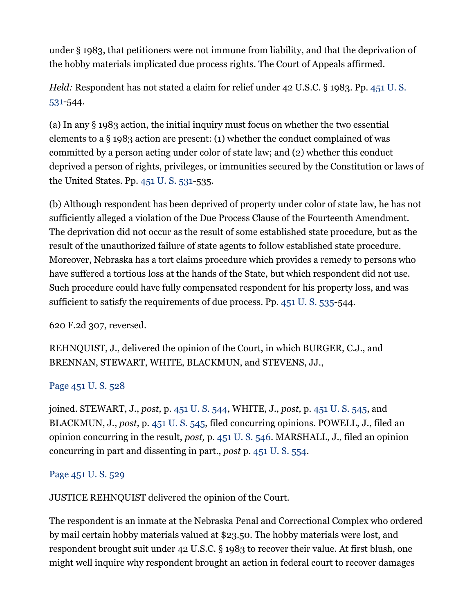under § 1983, that petitioners were not immune from liability, and that the deprivation of the hobby materials implicated due process rights. The Court of Appeals affirmed.

*Held:* [Respondent has not stated a claim for relief under 42 U.S.C. § 1983. Pp. 451 U. S.](#page-3-0) 531-544.

(a) In any § 1983 action, the initial inquiry must focus on whether the two essential elements to a § 1983 action are present: (1) whether the conduct complained of was committed by a person acting under color of state law; and (2) whether this conduct deprived a person of rights, privileges, or immunities secured by the Constitution or laws of the United States. Pp. [451 U. S. 531-](#page-3-0)535.

(b) Although respondent has been deprived of property under color of state law, he has not sufficiently alleged a violation of the Due Process Clause of the Fourteenth Amendment. The deprivation did not occur as the result of some established state procedure, but as the result of the unauthorized failure of state agents to follow established state procedure. Moreover, Nebraska has a tort claims procedure which provides a remedy to persons who have suffered a tortious loss at the hands of the State, but which respondent did not use. Such procedure could have fully compensated respondent for his property loss, and was sufficient to satisfy the requirements of due process. Pp. [451 U. S. 535-](#page-5-0)544.

620 F.2d 307, reversed.

REHNQUIST, J., delivered the opinion of the Court, in which BURGER, C.J., and BRENNAN, STEWART, WHITE, BLACKMUN, and STEVENS, JJ.,

## Page 451 U. S. 528

joined. STEWART, J., *post,* p. [451 U. S. 544](#page-12-0), WHITE, J., *post,* p. [451 U. S. 545](#page-14-0), and BLACKMUN, J., *post,* p. [451 U. S. 545,](#page-14-0) filed concurring opinions. POWELL, J., filed an opinion concurring in the result, *post,* p. [451 U. S. 546](#page-15-0). MARSHALL, J., filed an opinion concurring in part and dissenting in part., *post* p. [451 U. S. 554](#page-19-0).

#### Page 451 U. S. 529

JUSTICE REHNQUIST delivered the opinion of the Court.

The respondent is an inmate at the Nebraska Penal and Correctional Complex who ordered by mail certain hobby materials valued at \$23.50. The hobby materials were lost, and respondent brought suit under 42 U.S.C. § 1983 to recover their value. At first blush, one might well inquire why respondent brought an action in federal court to recover damages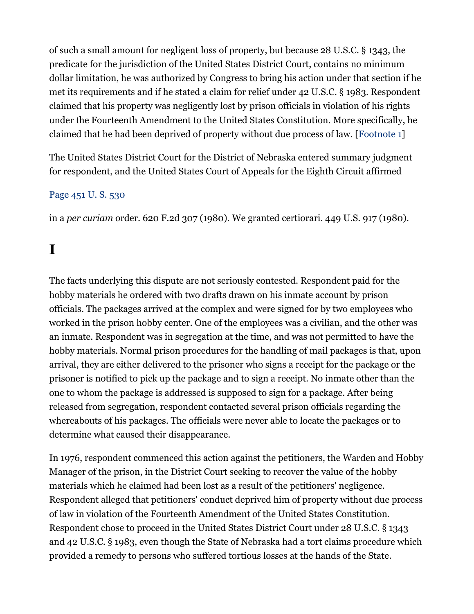of such a small amount for negligent loss of property, but because 28 U.S.C. § 1343, the predicate for the jurisdiction of the United States District Court, contains no minimum dollar limitation, he was authorized by Congress to bring his action under that section if he met its requirements and if he stated a claim for relief under 42 U.S.C. § 1983. Respondent claimed that his property was negligently lost by prison officials in violation of his rights under the Fourteenth Amendment to the United States Constitution. More specifically, he claimed that he had been deprived of property without due process of law. [[Footnote 1](#page-13-0)]

<span id="page-2-0"></span>The United States District Court for the District of Nebraska entered summary judgment for respondent, and the United States Court of Appeals for the Eighth Circuit affirmed

#### Page 451 U. S. 530

in a *per curiam* order. 620 F.2d 307 (1980). We granted certiorari. 449 U.S. 917 (1980).

## I

The facts underlying this dispute are not seriously contested. Respondent paid for the hobby materials he ordered with two drafts drawn on his inmate account by prison officials. The packages arrived at the complex and were signed for by two employees who worked in the prison hobby center. One of the employees was a civilian, and the other was an inmate. Respondent was in segregation at the time, and was not permitted to have the hobby materials. Normal prison procedures for the handling of mail packages is that, upon arrival, they are either delivered to the prisoner who signs a receipt for the package or the prisoner is notified to pick up the package and to sign a receipt. No inmate other than the one to whom the package is addressed is supposed to sign for a package. After being released from segregation, respondent contacted several prison officials regarding the whereabouts of his packages. The officials were never able to locate the packages or to determine what caused their disappearance.

In 1976, respondent commenced this action against the petitioners, the Warden and Hobby Manager of the prison, in the District Court seeking to recover the value of the hobby materials which he claimed had been lost as a result of the petitioners' negligence. Respondent alleged that petitioners' conduct deprived him of property without due process of law in violation of the Fourteenth Amendment of the United States Constitution. Respondent chose to proceed in the United States District Court under 28 U.S.C. § 1343 and 42 U.S.C. § 1983, even though the State of Nebraska had a tort claims procedure which provided a remedy to persons who suffered tortious losses at the hands of the State.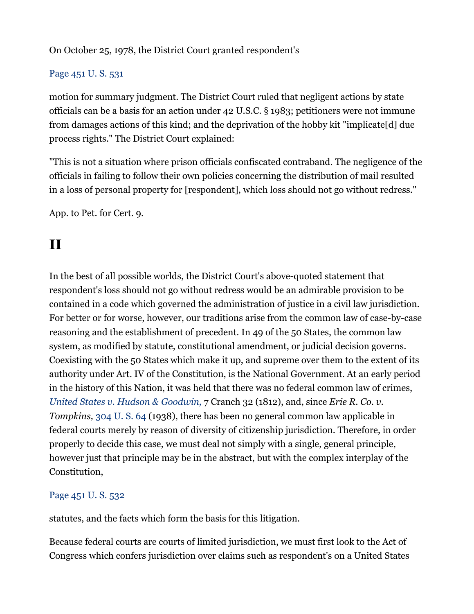On October 25, 1978, the District Court granted respondent's

#### <span id="page-3-0"></span>Page 451 U. S. 531

motion for summary judgment. The District Court ruled that negligent actions by state officials can be a basis for an action under 42 U.S.C. § 1983; petitioners were not immune from damages actions of this kind; and the deprivation of the hobby kit "implicate[d] due process rights." The District Court explained:

"This is not a situation where prison officials confiscated contraband. The negligence of the officials in failing to follow their own policies concerning the distribution of mail resulted in a loss of personal property for [respondent], which loss should not go without redress."

App. to Pet. for Cert. 9.

## II

In the best of all possible worlds, the District Court's above-quoted statement that respondent's loss should not go without redress would be an admirable provision to be contained in a code which governed the administration of justice in a civil law jurisdiction. For better or for worse, however, our traditions arise from the common law of case-by-case reasoning and the establishment of precedent. In 49 of the 50 States, the common law system, as modified by statute, constitutional amendment, or judicial decision governs. Coexisting with the 50 States which make it up, and supreme over them to the extent of its authority under Art. IV of the Constitution, is the National Government. At an early period in the history of this Nation, it was held that there was no federal common law of crimes, *[United States v. Hudson & Goodwin,](https://supreme.justia.com/cases/federal/us/11/32/case.html)* 7 Cranch 32 (1812), and, since *Erie R. Co. v. Tompkins,* [304 U. S. 64](https://supreme.justia.com/cases/federal/us/304/64/case.html) (1938), there has been no general common law applicable in federal courts merely by reason of diversity of citizenship jurisdiction. Therefore, in order properly to decide this case, we must deal not simply with a single, general principle, however just that principle may be in the abstract, but with the complex interplay of the Constitution,

## Page 451 U. S. 532

statutes, and the facts which form the basis for this litigation.

Because federal courts are courts of limited jurisdiction, we must first look to the Act of Congress which confers jurisdiction over claims such as respondent's on a United States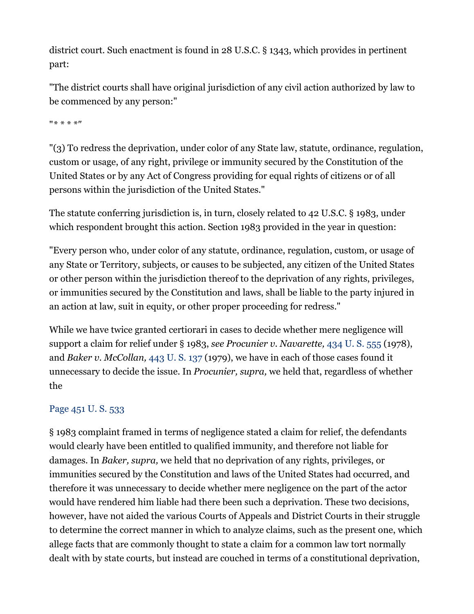district court. Such enactment is found in 28 U.S.C. § 1343, which provides in pertinent part:

"The district courts shall have original jurisdiction of any civil action authorized by law to be commenced by any person:"

"*\* \* \* \*"*

"(3) To redress the deprivation, under color of any State law, statute, ordinance, regulation, custom or usage, of any right, privilege or immunity secured by the Constitution of the United States or by any Act of Congress providing for equal rights of citizens or of all persons within the jurisdiction of the United States."

The statute conferring jurisdiction is, in turn, closely related to 42 U.S.C. § 1983, under which respondent brought this action. Section 1983 provided in the year in question:

"Every person who, under color of any statute, ordinance, regulation, custom, or usage of any State or Territory, subjects, or causes to be subjected, any citizen of the United States or other person within the jurisdiction thereof to the deprivation of any rights, privileges, or immunities secured by the Constitution and laws, shall be liable to the party injured in an action at law, suit in equity, or other proper proceeding for redress."

While we have twice granted certiorari in cases to decide whether mere negligence will support a claim for relief under § 1983, *see Procunier v. Navarette,* [434 U. S. 555](https://supreme.justia.com/cases/federal/us/434/555/case.html) (1978), and *Baker v. McCollan,* [443 U. S. 137](https://supreme.justia.com/cases/federal/us/443/137/case.html) (1979), we have in each of those cases found it unnecessary to decide the issue. In *Procunier, supra,* we held that, regardless of whether the

#### Page 451 U. S. 533

§ 1983 complaint framed in terms of negligence stated a claim for relief, the defendants would clearly have been entitled to qualified immunity, and therefore not liable for damages. In *Baker, supra,* we held that no deprivation of any rights, privileges, or immunities secured by the Constitution and laws of the United States had occurred, and therefore it was unnecessary to decide whether mere negligence on the part of the actor would have rendered him liable had there been such a deprivation. These two decisions, however, have not aided the various Courts of Appeals and District Courts in their struggle to determine the correct manner in which to analyze claims, such as the present one, which allege facts that are commonly thought to state a claim for a common law tort normally dealt with by state courts, but instead are couched in terms of a constitutional deprivation,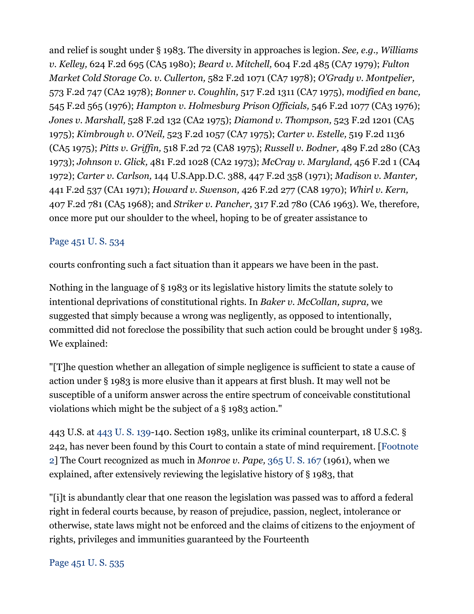and relief is sought under § 1983. The diversity in approaches is legion. *See, e.g., Williams v. Kelley,* 624 F.2d 695 (CA5 1980); *Beard v. Mitchell,* 604 F.2d 485 (CA7 1979); *Fulton Market Cold Storage Co. v. Cullerton,* 582 F.2d 1071 (CA7 1978); *O'Grady v. Montpelier,* 573 F.2d 747 (CA2 1978); *Bonner v. Coughlin,* 517 F.2d 1311 (CA7 1975), *modified en banc,* 545 F.2d 565 (1976); *Hampton v. Holmesburg Prison Officials,* 546 F.2d 1077 (CA3 1976); *Jones v. Marshall,* 528 F.2d 132 (CA2 1975); *Diamond v. Thompson,* 523 F.2d 1201 (CA5 1975); *Kimbrough v. O'Neil,* 523 F.2d 1057 (CA7 1975); *Carter v. Estelle,* 519 F.2d 1136 (CA5 1975); *Pitts v. Griffin,* 518 F.2d 72 (CA8 1975); *Russell v. Bodner,* 489 F.2d 280 (CA3 1973); *Johnson v. Glick,* 481 F.2d 1028 (CA2 1973); *McCray v. Maryland,* 456 F.2d 1 (CA4 1972); *Carter v. Carlson,* 144 U.S.App.D.C. 388, 447 F.2d 358 (1971); *Madison v. Manter,* 441 F.2d 537 (CA1 1971); *Howard v. Swenson,* 426 F.2d 277 (CA8 1970); *Whirl v. Kern,* 407 F.2d 781 (CA5 1968); and *Striker v. Pancher,* 317 F.2d 780 (CA6 1963). We, therefore, once more put our shoulder to the wheel, hoping to be of greater assistance to

#### <span id="page-5-2"></span>Page 451 U. S. 534

courts confronting such a fact situation than it appears we have been in the past.

Nothing in the language of § 1983 or its legislative history limits the statute solely to intentional deprivations of constitutional rights. In *Baker v. McCollan, supra,* we suggested that simply because a wrong was negligently, as opposed to intentionally, committed did not foreclose the possibility that such action could be brought under § 1983. We explained:

"[T]he question whether an allegation of simple negligence is sufficient to state a cause of action under § 1983 is more elusive than it appears at first blush. It may well not be susceptible of a uniform answer across the entire spectrum of conceivable constitutional violations which might be the subject of a § 1983 action."

<span id="page-5-1"></span>443 U.S. at [443 U. S. 139-](https://supreme.justia.com/cases/federal/us/443/137/case.html#139)140. Section 1983, unlike its criminal counterpart, 18 U.S.C. § [242, has never been found by this Court to contain a state of mind requirement. \[Footnote](#page-13-1) 2] The Court recognized as much in *Monroe v. Pape,* [365 U. S. 167](https://supreme.justia.com/cases/federal/us/365/167/case.html) (1961), when we explained, after extensively reviewing the legislative history of § 1983, that

"[i]t is abundantly clear that one reason the legislation was passed was to afford a federal right in federal courts because, by reason of prejudice, passion, neglect, intolerance or otherwise, state laws might not be enforced and the claims of citizens to the enjoyment of rights, privileges and immunities guaranteed by the Fourteenth

<span id="page-5-0"></span>Page 451 U. S. 535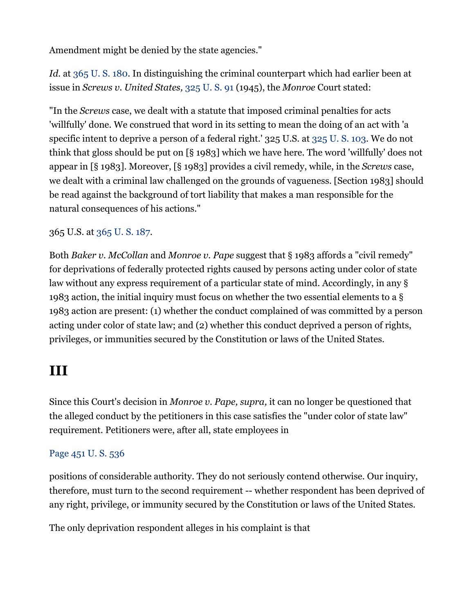Amendment might be denied by the state agencies."

Id. at [365 U. S. 180.](https://supreme.justia.com/cases/federal/us/365/167/case.html#180) In distinguishing the criminal counterpart which had earlier been at issue in *Screws v. United States,* [325 U. S. 91](https://supreme.justia.com/cases/federal/us/325/91/case.html) (1945), the *Monroe* Court stated:

"In the *Screws* case, we dealt with a statute that imposed criminal penalties for acts 'willfully' done. We construed that word in its setting to mean the doing of an act with 'a specific intent to deprive a person of a federal right.' 325 U.S. at [325 U. S. 103](https://supreme.justia.com/us/325/91/case.html#103). We do not think that gloss should be put on [§ 1983] which we have here. The word 'willfully' does not appear in [§ 1983]. Moreover, [§ 1983] provides a civil remedy, while, in the *Screws* case, we dealt with a criminal law challenged on the grounds of vagueness. [Section 1983] should be read against the background of tort liability that makes a man responsible for the natural consequences of his actions."

365 U.S. at [365 U. S. 187](https://supreme.justia.com/cases/federal/us/365/167/case.html#187).

Both *Baker v. McCollan* and *Monroe v. Pape* suggest that § 1983 affords a "civil remedy" for deprivations of federally protected rights caused by persons acting under color of state law without any express requirement of a particular state of mind. Accordingly, in any § 1983 action, the initial inquiry must focus on whether the two essential elements to a § 1983 action are present: (1) whether the conduct complained of was committed by a person acting under color of state law; and (2) whether this conduct deprived a person of rights, privileges, or immunities secured by the Constitution or laws of the United States.

## III

Since this Court's decision in *Monroe v. Pape, supra,* it can no longer be questioned that the alleged conduct by the petitioners in this case satisfies the "under color of state law" requirement. Petitioners were, after all, state employees in

## Page 451 U. S. 536

positions of considerable authority. They do not seriously contend otherwise. Our inquiry, therefore, must turn to the second requirement -- whether respondent has been deprived of any right, privilege, or immunity secured by the Constitution or laws of the United States.

The only deprivation respondent alleges in his complaint is that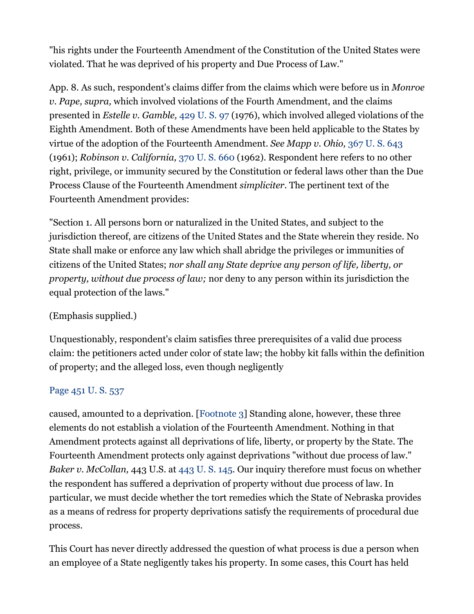"his rights under the Fourteenth Amendment of the Constitution of the United States were violated. That he was deprived of his property and Due Process of Law."

App. 8. As such, respondent's claims differ from the claims which were before us in *Monroe v. Pape, supra,* which involved violations of the Fourth Amendment, and the claims presented in *Estelle v. Gamble,* [429 U. S. 97](https://supreme.justia.com/cases/federal/us/429/97/case.html) (1976), which involved alleged violations of the Eighth Amendment. Both of these Amendments have been held applicable to the States by virtue of the adoption of the Fourteenth Amendment. *See Mapp v. Ohio,* [367 U. S. 643](https://supreme.justia.com/cases/federal/us/367/643/case.html) (1961); *Robinson v. California,* [370 U. S. 660](https://supreme.justia.com/cases/federal/us/370/660/case.html) (1962). Respondent here refers to no other right, privilege, or immunity secured by the Constitution or federal laws other than the Due Process Clause of the Fourteenth Amendment *simpliciter.* The pertinent text of the Fourteenth Amendment provides:

"Section 1. All persons born or naturalized in the United States, and subject to the jurisdiction thereof, are citizens of the United States and the State wherein they reside. No State shall make or enforce any law which shall abridge the privileges or immunities of citizens of the United States; *nor shall any State deprive any person of life, liberty, or property, without due process of law;* nor deny to any person within its jurisdiction the equal protection of the laws."

#### (Emphasis supplied.)

Unquestionably, respondent's claim satisfies three prerequisites of a valid due process claim: the petitioners acted under color of state law; the hobby kit falls within the definition of property; and the alleged loss, even though negligently

#### Page 451 U. S. 537

<span id="page-7-0"></span>caused, amounted to a deprivation. [[Footnote 3](#page-13-2)] Standing alone, however, these three elements do not establish a violation of the Fourteenth Amendment. Nothing in that Amendment protects against all deprivations of life, liberty, or property by the State. The Fourteenth Amendment protects only against deprivations "without due process of law." *Baker v. McCollan,* 443 U.S. at [443 U. S. 145.](https://supreme.justia.com/cases/federal/us/443/137/case.html#145) Our inquiry therefore must focus on whether the respondent has suffered a deprivation of property without due process of law. In particular, we must decide whether the tort remedies which the State of Nebraska provides as a means of redress for property deprivations satisfy the requirements of procedural due process.

This Court has never directly addressed the question of what process is due a person when an employee of a State negligently takes his property. In some cases, this Court has held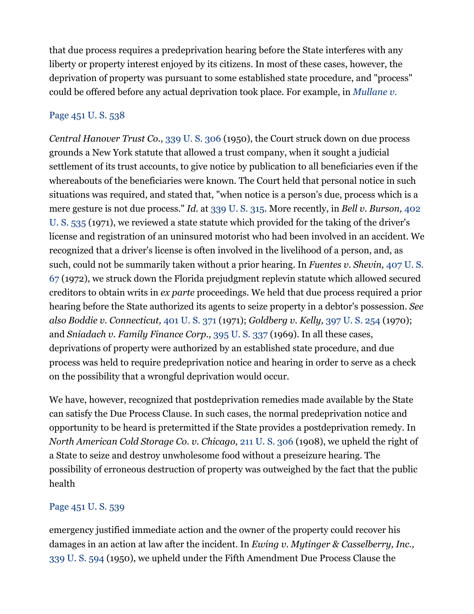that due process requires a predeprivation hearing before the State interferes with any liberty or property interest enjoyed by its citizens. In most of these cases, however, the deprivation of property was pursuant to some established state procedure, and "process" could be offered before any actual deprivation took place. For example, in *[Mullane v.](https://supreme.justia.com/cases/federal/us/339/306/case.html)*

#### Page 451 U. S. 538

*Central Hanover Trust Co.,* [339 U. S. 306](https://supreme.justia.com/cases/federal/us/339/306/case.html) (1950), the Court struck down on due process grounds a New York statute that allowed a trust company, when it sought a judicial settlement of its trust accounts, to give notice by publication to all beneficiaries even if the whereabouts of the beneficiaries were known. The Court held that personal notice in such situations was required, and stated that, "when notice is a person's due, process which is a mere gesture is not due process." *Id.* at [339 U. S. 315.](https://supreme.justia.com/cases/federal/us/339/306/case.html#316) More recently, in *Bell v. Burson,* 402 [U. S. 535 \(1971\), we reviewed a state statute which provided for the taking of the driver's](https://supreme.justia.com/cases/federal/us/402/535/case.html) license and registration of an uninsured motorist who had been involved in an accident. We recognized that a driver's license is often involved in the livelihood of a person, and, as such, could not be summarily taken without a prior hearing. In *Fuentes v. Shevin,* 407 U. S. [67 \(1972\), we struck down the Florida prejudgment replevin statute which allowed secured](https://supreme.justia.com/cases/federal/us/407/67/case.html) creditors to obtain writs in *ex parte* proceedings. We held that due process required a prior hearing before the State authorized its agents to seize property in a debtor's possession. *See also Boddie v. Connecticut,* [401 U. S. 371](https://supreme.justia.com/cases/federal/us/401/371/case.html) (1971); *Goldberg v. Kelly,* [397 U. S. 254](https://supreme.justia.com/cases/federal/us/397/254/case.html) (1970); and *Sniadach v. Family Finance Corp.,* [395 U. S. 337](https://supreme.justia.com/cases/federal/us/395/337/case.html) (1969). In all these cases, deprivations of property were authorized by an established state procedure, and due process was held to require predeprivation notice and hearing in order to serve as a check on the possibility that a wrongful deprivation would occur.

We have, however, recognized that postdeprivation remedies made available by the State can satisfy the Due Process Clause. In such cases, the normal predeprivation notice and opportunity to be heard is pretermitted if the State provides a postdeprivation remedy. In *North American Cold Storage Co. v. Chicago,* [211 U. S. 306](https://supreme.justia.com/cases/federal/us/211/306/case.html) (1908), we upheld the right of a State to seize and destroy unwholesome food without a preseizure hearing. The possibility of erroneous destruction of property was outweighed by the fact that the public health

#### Page 451 U. S. 539

emergency justified immediate action and the owner of the property could recover his damages in an action at law after the incident. In *Ewing v. Mytinger & Casselberry, Inc.,* [339 U. S. 594](https://supreme.justia.com/cases/federal/us/339/594/case.html) (1950), we upheld under the Fifth Amendment Due Process Clause the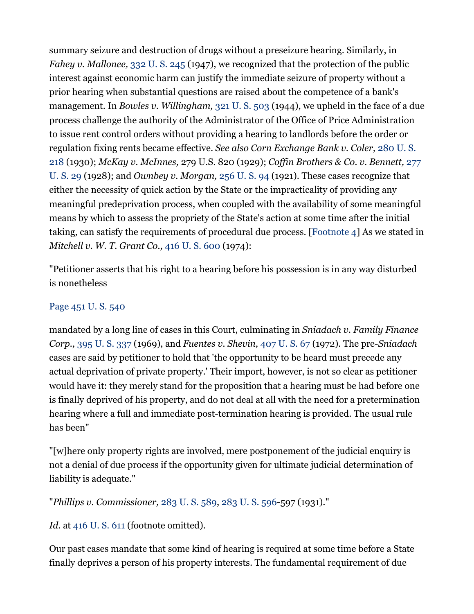summary seizure and destruction of drugs without a preseizure hearing. Similarly, in *Fahey v. Mallonee,* [332 U. S. 245](https://supreme.justia.com/cases/federal/us/332/245/case.html) (1947), we recognized that the protection of the public interest against economic harm can justify the immediate seizure of property without a prior hearing when substantial questions are raised about the competence of a bank's management. In *Bowles v. Willingham,* [321 U. S. 503](https://supreme.justia.com/cases/federal/us/321/503/case.html) (1944), we upheld in the face of a due process challenge the authority of the Administrator of the Office of Price Administration to issue rent control orders without providing a hearing to landlords before the order or [regulation fixing rents became effective.](https://supreme.justia.com/cases/federal/us/280/218/case.html) *See also Corn Exchange Bank v. Coler,* 280 U. S. 218 (1930); *McKay v. McInnes,* 279 U.S. 820 (1929); *Coffin Brothers & Co. v. Bennett,* 277 U. S. 29 (1928); and *Ownbey v. Morgan,* [256 U. S. 94 \(1921\). These cases recognize that](https://supreme.justia.com/cases/federal/us/277/29/case.html) either the necessity of quick action by the State or the impracticality of providing any meaningful predeprivation process, when coupled with the availability of some meaningful means by which to assess the propriety of the State's action at some time after the initial taking, can satisfy the requirements of procedural due process. [[Footnote 4\]](#page-14-1) As we stated in *Mitchell v. W. T. Grant Co.,* [416 U. S. 600](https://supreme.justia.com/cases/federal/us/416/600/case.html) (1974):

<span id="page-9-0"></span>"Petitioner asserts that his right to a hearing before his possession is in any way disturbed is nonetheless

#### Page 451 U. S. 540

mandated by a long line of cases in this Court, culminating in *Sniadach v. Family Finance Corp.,* [395 U. S. 337](https://supreme.justia.com/us/395/337/case.html) (1969), and *Fuentes v. Shevin,* [407 U. S. 67](https://supreme.justia.com/us/407/67/case.html) (1972). The pre-*Sniadach* cases are said by petitioner to hold that 'the opportunity to be heard must precede any actual deprivation of private property.' Their import, however, is not so clear as petitioner would have it: they merely stand for the proposition that a hearing must be had before one is finally deprived of his property, and do not deal at all with the need for a pretermination hearing where a full and immediate post-termination hearing is provided. The usual rule has been"

"[w]here only property rights are involved, mere postponement of the judicial enquiry is not a denial of due process if the opportunity given for ultimate judicial determination of liability is adequate."

"*Phillips v. Commissioner,* [283 U. S. 589,](https://supreme.justia.com/us/283/589/case.html) [283 U. S. 596](https://supreme.justia.com/us/283/589/case.html#596)-597 (1931)."

Id. at 416 U.S. 611 (footnote omitted).

Our past cases mandate that some kind of hearing is required at some time before a State finally deprives a person of his property interests. The fundamental requirement of due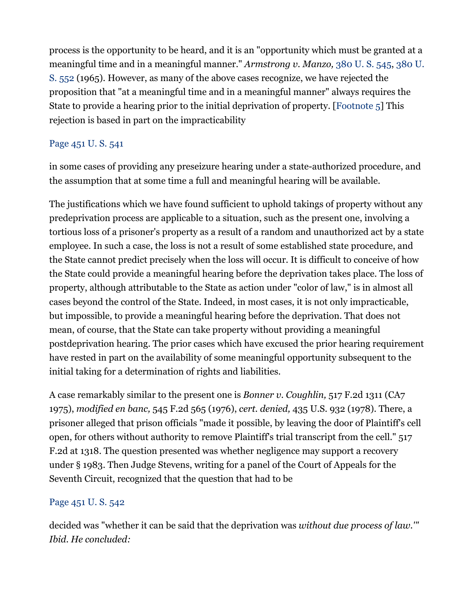process is the opportunity to be heard, and it is an "opportunity which must be granted at a meaningful time and in a meaningful manner." *Armstrong v. Manzo,* [380 U. S. 545,](https://supreme.justia.com/cases/federal/us/380/545/case.html) 380 U. [S. 552 \(1965\). However, as many of the above cases recognize, we have rejected the](https://supreme.justia.com/cases/federal/us/380/545/case.html#552) proposition that "at a meaningful time and in a meaningful manner" always requires the State to provide a hearing prior to the initial deprivation of property. [\[Footnote 5](#page-14-2)] This rejection is based in part on the impracticability

#### <span id="page-10-1"></span><span id="page-10-0"></span>Page 451 U. S. 541

in some cases of providing any preseizure hearing under a state-authorized procedure, and the assumption that at some time a full and meaningful hearing will be available.

The justifications which we have found sufficient to uphold takings of property without any predeprivation process are applicable to a situation, such as the present one, involving a tortious loss of a prisoner's property as a result of a random and unauthorized act by a state employee. In such a case, the loss is not a result of some established state procedure, and the State cannot predict precisely when the loss will occur. It is difficult to conceive of how the State could provide a meaningful hearing before the deprivation takes place. The loss of property, although attributable to the State as action under "color of law," is in almost all cases beyond the control of the State. Indeed, in most cases, it is not only impracticable, but impossible, to provide a meaningful hearing before the deprivation. That does not mean, of course, that the State can take property without providing a meaningful postdeprivation hearing. The prior cases which have excused the prior hearing requirement have rested in part on the availability of some meaningful opportunity subsequent to the initial taking for a determination of rights and liabilities.

A case remarkably similar to the present one is *Bonner v. Coughlin,* 517 F.2d 1311 (CA7 1975), *modified en banc,* 545 F.2d 565 (1976), *cert. denied,* 435 U.S. 932 (1978). There, a prisoner alleged that prison officials "made it possible, by leaving the door of Plaintiff's cell open, for others without authority to remove Plaintiff's trial transcript from the cell." 517 F.2d at 1318. The question presented was whether negligence may support a recovery under § 1983. Then Judge Stevens, writing for a panel of the Court of Appeals for the Seventh Circuit, recognized that the question that had to be

#### Page 451 U. S. 542

decided was "whether it can be said that the deprivation was *without due process of law.'" Ibid. He concluded:*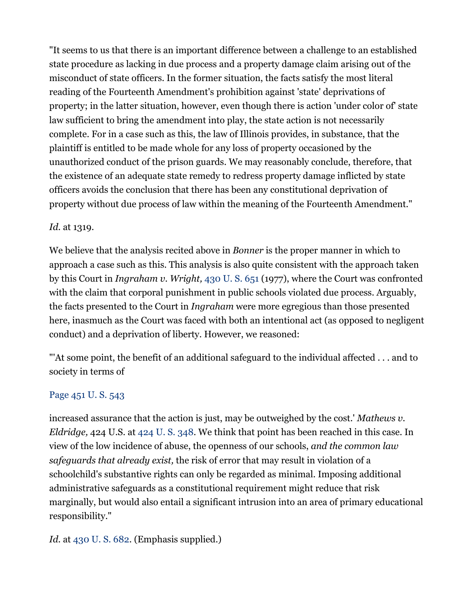"It seems to us that there is an important difference between a challenge to an established state procedure as lacking in due process and a property damage claim arising out of the misconduct of state officers. In the former situation, the facts satisfy the most literal reading of the Fourteenth Amendment's prohibition against 'state' deprivations of property; in the latter situation, however, even though there is action 'under color of' state law sufficient to bring the amendment into play, the state action is not necessarily complete. For in a case such as this, the law of Illinois provides, in substance, that the plaintiff is entitled to be made whole for any loss of property occasioned by the unauthorized conduct of the prison guards. We may reasonably conclude, therefore, that the existence of an adequate state remedy to redress property damage inflicted by state officers avoids the conclusion that there has been any constitutional deprivation of property without due process of law within the meaning of the Fourteenth Amendment."

#### *Id.* at 1319.

We believe that the analysis recited above in *Bonner* is the proper manner in which to approach a case such as this. This analysis is also quite consistent with the approach taken by this Court in *Ingraham v. Wright,* [430 U. S. 651](https://supreme.justia.com/cases/federal/us/430/651/case.html) (1977), where the Court was confronted with the claim that corporal punishment in public schools violated due process. Arguably, the facts presented to the Court in *Ingraham* were more egregious than those presented here, inasmuch as the Court was faced with both an intentional act (as opposed to negligent conduct) and a deprivation of liberty. However, we reasoned:

"'At some point, the benefit of an additional safeguard to the individual affected . . . and to society in terms of

#### <span id="page-11-0"></span>Page 451 U. S. 543

increased assurance that the action is just, may be outweighed by the cost.' *Mathews v. Eldridge,* 424 U.S. at [424 U. S. 348.](https://supreme.justia.com/us/424/319/case.html#348) We think that point has been reached in this case. In view of the low incidence of abuse, the openness of our schools, *and the common law safeguards that already exist,* the risk of error that may result in violation of a schoolchild's substantive rights can only be regarded as minimal. Imposing additional administrative safeguards as a constitutional requirement might reduce that risk marginally, but would also entail a significant intrusion into an area of primary educational responsibility."

*Id.* at [430 U. S. 682.](https://supreme.justia.com/cases/federal/us/430/651/case.html#682) (Emphasis supplied.)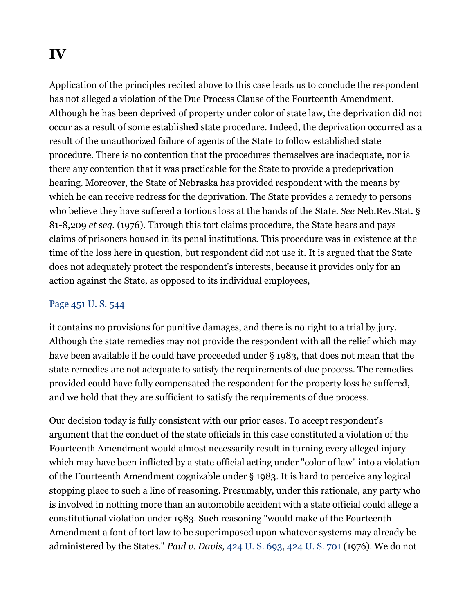## IV

Application of the principles recited above to this case leads us to conclude the respondent has not alleged a violation of the Due Process Clause of the Fourteenth Amendment. Although he has been deprived of property under color of state law, the deprivation did not occur as a result of some established state procedure. Indeed, the deprivation occurred as a result of the unauthorized failure of agents of the State to follow established state procedure. There is no contention that the procedures themselves are inadequate, nor is there any contention that it was practicable for the State to provide a predeprivation hearing. Moreover, the State of Nebraska has provided respondent with the means by which he can receive redress for the deprivation. The State provides a remedy to persons who believe they have suffered a tortious loss at the hands of the State. *See* Neb.Rev.Stat. § 81-8,209 *et seq.* (1976). Through this tort claims procedure, the State hears and pays claims of prisoners housed in its penal institutions. This procedure was in existence at the time of the loss here in question, but respondent did not use it. It is argued that the State does not adequately protect the respondent's interests, because it provides only for an action against the State, as opposed to its individual employees,

#### <span id="page-12-0"></span>Page 451 U. S. 544

it contains no provisions for punitive damages, and there is no right to a trial by jury. Although the state remedies may not provide the respondent with all the relief which may have been available if he could have proceeded under § 1983, that does not mean that the state remedies are not adequate to satisfy the requirements of due process. The remedies provided could have fully compensated the respondent for the property loss he suffered, and we hold that they are sufficient to satisfy the requirements of due process.

Our decision today is fully consistent with our prior cases. To accept respondent's argument that the conduct of the state officials in this case constituted a violation of the Fourteenth Amendment would almost necessarily result in turning every alleged injury which may have been inflicted by a state official acting under "color of law" into a violation of the Fourteenth Amendment cognizable under § 1983. It is hard to perceive any logical stopping place to such a line of reasoning. Presumably, under this rationale, any party who is involved in nothing more than an automobile accident with a state official could allege a constitutional violation under 1983. Such reasoning "would make of the Fourteenth Amendment a font of tort law to be superimposed upon whatever systems may already be administered by the States." *Paul v. Davis,* [424 U. S. 693,](https://supreme.justia.com/cases/federal/us/424/693/case.html) [424 U. S. 701](https://supreme.justia.com/cases/federal/us/424/693/case.html#701) (1976). We do not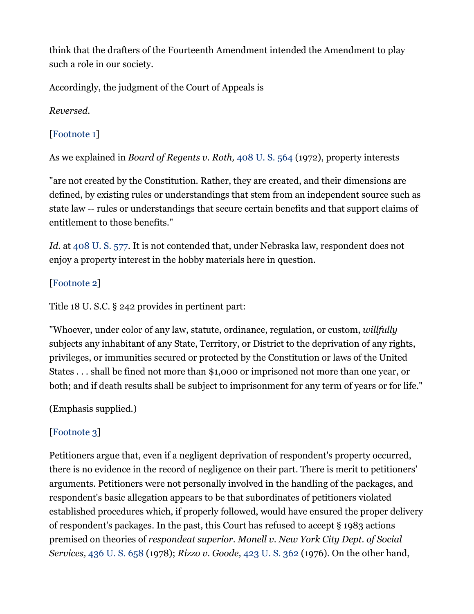think that the drafters of the Fourteenth Amendment intended the Amendment to play such a role in our society.

Accordingly, the judgment of the Court of Appeals is

*Reversed.*

## <span id="page-13-0"></span>[\[Footnote 1\]](#page-2-0)

As we explained in *Board of Regents v. Roth,* [408 U. S. 564](https://supreme.justia.com/cases/federal/us/408/564/case.html) (1972), property interests

"are not created by the Constitution. Rather, they are created, and their dimensions are defined, by existing rules or understandings that stem from an independent source such as state law -- rules or understandings that secure certain benefits and that support claims of entitlement to those benefits."

Id. at 408 U.S. 577. It is not contended that, under Nebraska law, respondent does not enjoy a property interest in the hobby materials here in question.

## <span id="page-13-1"></span>[\[Footnote 2](#page-5-1)]

Title 18 U. S.C. § 242 provides in pertinent part:

"Whoever, under color of any law, statute, ordinance, regulation, or custom, *willfully* subjects any inhabitant of any State, Territory, or District to the deprivation of any rights, privileges, or immunities secured or protected by the Constitution or laws of the United States . . . shall be fined not more than \$1,000 or imprisoned not more than one year, or both; and if death results shall be subject to imprisonment for any term of years or for life."

(Emphasis supplied.)

## <span id="page-13-2"></span>[\[Footnote 3](#page-7-0)]

Petitioners argue that, even if a negligent deprivation of respondent's property occurred, there is no evidence in the record of negligence on their part. There is merit to petitioners' arguments. Petitioners were not personally involved in the handling of the packages, and respondent's basic allegation appears to be that subordinates of petitioners violated established procedures which, if properly followed, would have ensured the proper delivery of respondent's packages. In the past, this Court has refused to accept § 1983 actions premised on theories of *respondeat superior. Monell v. New York City Dept. of Social Services,* [436 U. S. 658](https://supreme.justia.com/cases/federal/us/436/658/case.html) (1978); *Rizzo v. Goode,* [423 U. S. 362](https://supreme.justia.com/cases/federal/us/423/362/case.html) (1976). On the other hand,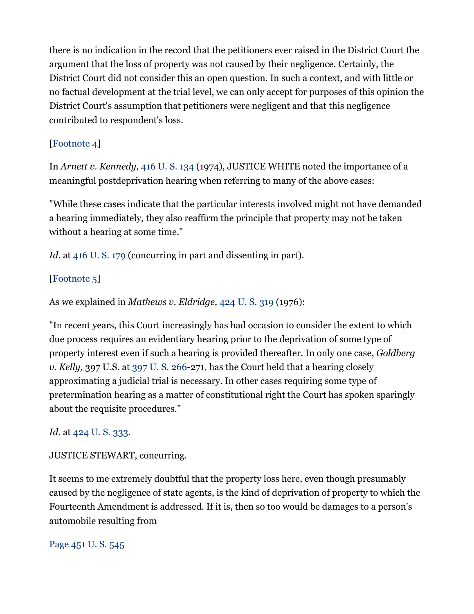there is no indication in the record that the petitioners ever raised in the District Court the argument that the loss of property was not caused by their negligence. Certainly, the District Court did not consider this an open question. In such a context, and with little or no factual development at the trial level, we can only accept for purposes of this opinion the District Court's assumption that petitioners were negligent and that this negligence contributed to respondent's loss.

## <span id="page-14-1"></span>[\[Footnote 4\]](#page-9-0)

In *Arnett v. Kennedy,* [416 U. S. 134](https://supreme.justia.com/cases/federal/us/416/134/case.html) (1974), JUSTICE WHITE noted the importance of a meaningful postdeprivation hearing when referring to many of the above cases:

"While these cases indicate that the particular interests involved might not have demanded a hearing immediately, they also reaffirm the principle that property may not be taken without a hearing at some time."

Id. at [416 U. S. 179](https://supreme.justia.com/cases/federal/us/416/134/case.html#179) (concurring in part and dissenting in part).

## <span id="page-14-2"></span>[\[Footnote 5](#page-10-0)]

As we explained in *Mathews v. Eldridge,* [424 U. S. 319](https://supreme.justia.com/cases/federal/us/424/319/case.html) (1976):

"In recent years, this Court increasingly has had occasion to consider the extent to which due process requires an evidentiary hearing prior to the deprivation of some type of property interest even if such a hearing is provided thereafter. In only one case, *Goldberg v. Kelly,* 397 U.S. at [397 U. S. 266](https://supreme.justia.com/us/397/254/case.html#266)-271, has the Court held that a hearing closely approximating a judicial trial is necessary. In other cases requiring some type of pretermination hearing as a matter of constitutional right the Court has spoken sparingly about the requisite procedures."

## *Id.* at [424 U. S. 333.](https://supreme.justia.com/cases/federal/us/424/319/case.html#333)

## JUSTICE STEWART, concurring.

It seems to me extremely doubtful that the property loss here, even though presumably caused by the negligence of state agents, is the kind of deprivation of property to which the Fourteenth Amendment is addressed. If it is, then so too would be damages to a person's automobile resulting from

## <span id="page-14-0"></span>Page 451 U. S. 545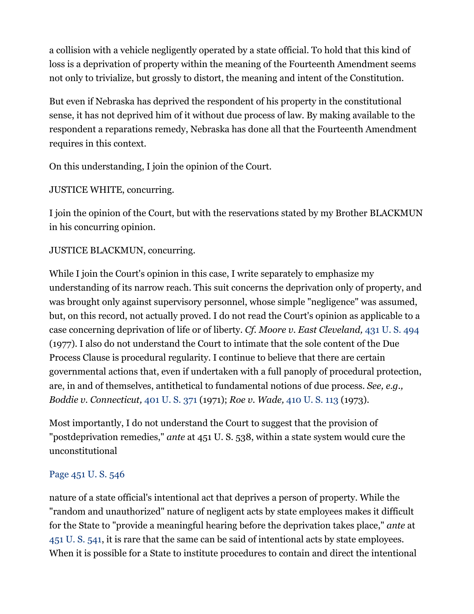a collision with a vehicle negligently operated by a state official. To hold that this kind of loss is a deprivation of property within the meaning of the Fourteenth Amendment seems not only to trivialize, but grossly to distort, the meaning and intent of the Constitution.

But even if Nebraska has deprived the respondent of his property in the constitutional sense, it has not deprived him of it without due process of law. By making available to the respondent a reparations remedy, Nebraska has done all that the Fourteenth Amendment requires in this context.

On this understanding, I join the opinion of the Court.

JUSTICE WHITE, concurring.

I join the opinion of the Court, but with the reservations stated by my Brother BLACKMUN in his concurring opinion.

#### JUSTICE BLACKMUN, concurring.

While I join the Court's opinion in this case, I write separately to emphasize my understanding of its narrow reach. This suit concerns the deprivation only of property, and was brought only against supervisory personnel, whose simple "negligence" was assumed, but, on this record, not actually proved. I do not read the Court's opinion as applicable to a case concerning deprivation of life or of liberty. *Cf. Moore v. East Cleveland,* [431 U. S. 494](https://supreme.justia.com/cases/federal/us/431/494/case.html) (1977). I also do not understand the Court to intimate that the sole content of the Due Process Clause is procedural regularity. I continue to believe that there are certain governmental actions that, even if undertaken with a full panoply of procedural protection, are, in and of themselves, antithetical to fundamental notions of due process. *See, e.g., Boddie v. Connecticut,* [401 U. S. 371](https://supreme.justia.com/cases/federal/us/401/371/case.html) (1971); *Roe v. Wade,* [410 U. S. 113](https://supreme.justia.com/cases/federal/us/410/113/case.html) (1973).

Most importantly, I do not understand the Court to suggest that the provision of "postdeprivation remedies," *ante* at 451 U. S. 538, within a state system would cure the unconstitutional

#### <span id="page-15-0"></span>Page 451 U. S. 546

nature of a state official's intentional act that deprives a person of property. While the "random and unauthorized" nature of negligent acts by state employees makes it difficult for the State to "provide a meaningful hearing before the deprivation takes place," *ante* at [451 U. S. 541](#page-10-1), it is rare that the same can be said of intentional acts by state employees. When it is possible for a State to institute procedures to contain and direct the intentional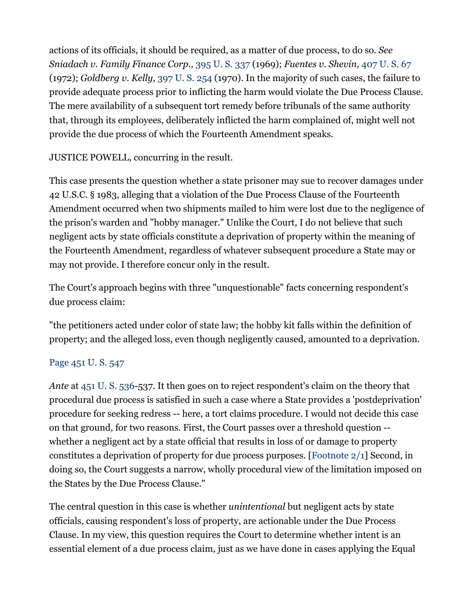actions of its officials, it should be required, as a matter of due process, to do so. *See Sniadach v. Family Finance Corp.,* [395 U. S. 337](https://supreme.justia.com/cases/federal/us/395/337/case.html) (1969); *Fuentes v. Shevin,* [407 U. S. 67](https://supreme.justia.com/cases/federal/us/407/67/case.html) (1972); *Goldberg v. Kelly,* [397 U. S. 254](https://supreme.justia.com/cases/federal/us/397/254/case.html) (1970). In the majority of such cases, the failure to provide adequate process prior to inflicting the harm would violate the Due Process Clause. The mere availability of a subsequent tort remedy before tribunals of the same authority that, through its employees, deliberately inflicted the harm complained of, might well not provide the due process of which the Fourteenth Amendment speaks.

JUSTICE POWELL, concurring in the result.

This case presents the question whether a state prisoner may sue to recover damages under 42 U.S.C. § 1983, alleging that a violation of the Due Process Clause of the Fourteenth Amendment occurred when two shipments mailed to him were lost due to the negligence of the prison's warden and "hobby manager." Unlike the Court, I do not believe that such negligent acts by state officials constitute a deprivation of property within the meaning of the Fourteenth Amendment, regardless of whatever subsequent procedure a State may or may not provide. I therefore concur only in the result.

The Court's approach begins with three "unquestionable" facts concerning respondent's due process claim:

"the petitioners acted under color of state law; the hobby kit falls within the definition of property; and the alleged loss, even though negligently caused, amounted to a deprivation.

## Page 451 U. S. 547

*Ante* at [451 U. S. 536-](https://supreme.justia.com/us/451/527/case.html#536)537. It then goes on to reject respondent's claim on the theory that procedural due process is satisfied in such a case where a State provides a 'postdeprivation' procedure for seeking redress -- here, a tort claims procedure. I would not decide this case on that ground, for two reasons. First, the Court passes over a threshold question - whether a negligent act by a state official that results in loss of or damage to property constitutes a deprivation of property for due process purposes. [[Footnote 2/1](#page-19-1)] Second, in doing so, the Court suggests a narrow, wholly procedural view of the limitation imposed on the States by the Due Process Clause."

<span id="page-16-0"></span>The central question in this case is whether *unintentional* but negligent acts by state officials, causing respondent's loss of property, are actionable under the Due Process Clause. In my view, this question requires the Court to determine whether intent is an essential element of a due process claim, just as we have done in cases applying the Equal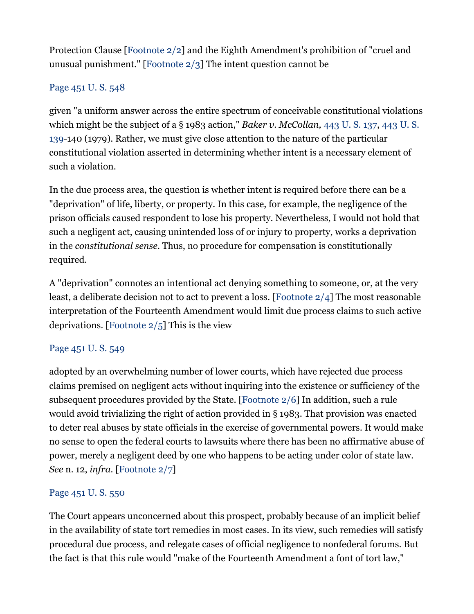<span id="page-17-1"></span><span id="page-17-0"></span>Protection Clause [\[Footnote 2/2\]](#page-19-2) and the Eighth Amendment's prohibition of "cruel and unusual punishment." [[Footnote 2/3\]](#page-19-3) The intent question cannot be

#### Page 451 U. S. 548

given "a uniform answer across the entire spectrum of conceivable constitutional violations which might be the subject of a § 1983 action," *Baker v. McCollan,* [443 U. S. 137](https://supreme.justia.com/cases/federal/us/443/137/case.html), 443 U. S. [139-140 \(1979\). Rather, we must give close attention to the nature of the particular](https://supreme.justia.com/cases/federal/us/443/137/case.html#139) constitutional violation asserted in determining whether intent is a necessary element of such a violation.

In the due process area, the question is whether intent is required before there can be a "deprivation" of life, liberty, or property. In this case, for example, the negligence of the prison officials caused respondent to lose his property. Nevertheless, I would not hold that such a negligent act, causing unintended loss of or injury to property, works a deprivation in the *constitutional sense.* Thus, no procedure for compensation is constitutionally required.

<span id="page-17-2"></span>A "deprivation" connotes an intentional act denying something to someone, or, at the very least, a deliberate decision not to act to prevent a loss. [\[Footnote 2/4](#page-20-0)] The most reasonable interpretation of the Fourteenth Amendment would limit due process claims to such active deprivations. [[Footnote 2/5\]](#page-20-1) This is the view

#### <span id="page-17-3"></span>Page 451 U. S. 549

<span id="page-17-4"></span>adopted by an overwhelming number of lower courts, which have rejected due process claims premised on negligent acts without inquiring into the existence or sufficiency of the subsequent procedures provided by the State. [[Footnote 2/6\]](#page-21-0) In addition, such a rule would avoid trivializing the right of action provided in § 1983. That provision was enacted to deter real abuses by state officials in the exercise of governmental powers. It would make no sense to open the federal courts to lawsuits where there has been no affirmative abuse of power, merely a negligent deed by one who happens to be acting under color of state law. *See* n. 12, *infra.* [[Footnote 2/7\]](#page-21-1)

#### <span id="page-17-5"></span>Page 451 U. S. 550

The Court appears unconcerned about this prospect, probably because of an implicit belief in the availability of state tort remedies in most cases. In its view, such remedies will satisfy procedural due process, and relegate cases of official negligence to nonfederal forums. But the fact is that this rule would "make of the Fourteenth Amendment a font of tort law,"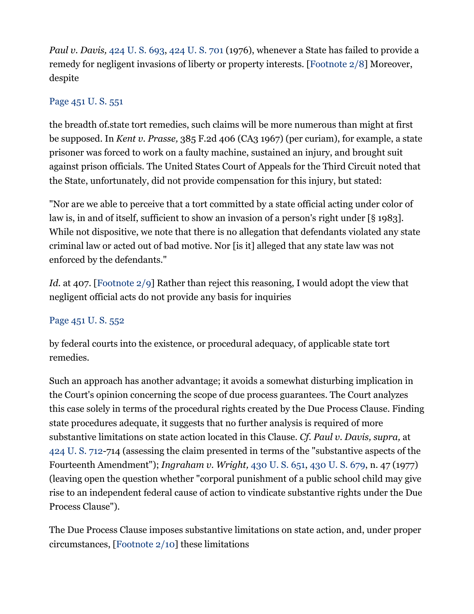<span id="page-18-0"></span>*Paul v. Davis,* [424 U. S. 693](https://supreme.justia.com/cases/federal/us/424/693/case.html), [424 U. S. 701](https://supreme.justia.com/cases/federal/us/424/693/case.html#701) (1976), whenever a State has failed to provide a remedy for negligent invasions of liberty or property interests. [[Footnote 2/8](#page-21-2)] Moreover, despite

#### Page 451 U. S. 551

the breadth of.state tort remedies, such claims will be more numerous than might at first be supposed. In *Kent v. Prasse,* 385 F.2d 406 (CA3 1967) (per curiam), for example, a state prisoner was forced to work on a faulty machine, sustained an injury, and brought suit against prison officials. The United States Court of Appeals for the Third Circuit noted that the State, unfortunately, did not provide compensation for this injury, but stated:

"Nor are we able to perceive that a tort committed by a state official acting under color of law is, in and of itself, sufficient to show an invasion of a person's right under [§ 1983]. While not dispositive, we note that there is no allegation that defendants violated any state criminal law or acted out of bad motive. Nor [is it] alleged that any state law was not enforced by the defendants."

<span id="page-18-1"></span>*Id.* at 407. [\[Footnote 2/9\]](#page-22-0) Rather than reject this reasoning, I would adopt the view that negligent official acts do not provide any basis for inquiries

#### Page 451 U. S. 552

by federal courts into the existence, or procedural adequacy, of applicable state tort remedies.

Such an approach has another advantage; it avoids a somewhat disturbing implication in the Court's opinion concerning the scope of due process guarantees. The Court analyzes this case solely in terms of the procedural rights created by the Due Process Clause. Finding state procedures adequate, it suggests that no further analysis is required of more substantive limitations on state action located in this Clause. *Cf. Paul v. Davis, supra,* at [424 U. S. 712-](https://supreme.justia.com/cases/federal/us/424/693/case.html#712)714 (assessing the claim presented in terms of the "substantive aspects of the Fourteenth Amendment"); *Ingraham v. Wright,* [430 U. S. 651,](https://supreme.justia.com/cases/federal/us/430/651/case.html) [430 U. S. 679](https://supreme.justia.com/cases/federal/us/430/651/case.html#679), n. 47 (1977) (leaving open the question whether "corporal punishment of a public school child may give rise to an independent federal cause of action to vindicate substantive rights under the Due Process Clause").

<span id="page-18-2"></span>The Due Process Clause imposes substantive limitations on state action, and, under proper circumstances, [[Footnote 2/10\]](#page-22-1) these limitations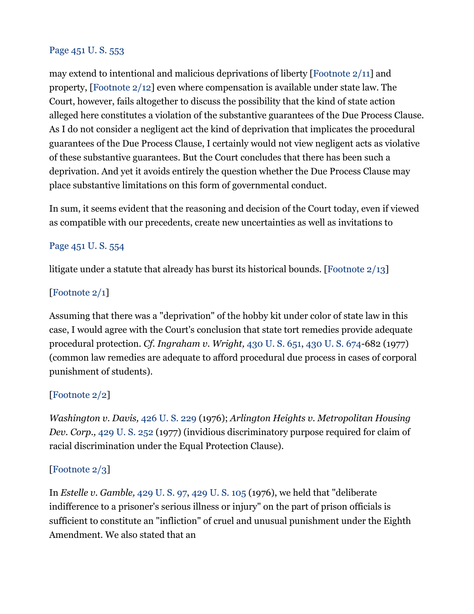#### Page 451 U. S. 553

<span id="page-19-5"></span><span id="page-19-4"></span>may extend to intentional and malicious deprivations of liberty [\[Footnote 2/11](#page-23-0)] and property, [[Footnote 2/12\]](#page-23-1) even where compensation is available under state law. The Court, however, fails altogether to discuss the possibility that the kind of state action alleged here constitutes a violation of the substantive guarantees of the Due Process Clause. As I do not consider a negligent act the kind of deprivation that implicates the procedural guarantees of the Due Process Clause, I certainly would not view negligent acts as violative of these substantive guarantees. But the Court concludes that there has been such a deprivation. And yet it avoids entirely the question whether the Due Process Clause may place substantive limitations on this form of governmental conduct.

In sum, it seems evident that the reasoning and decision of the Court today, even if viewed as compatible with our precedents, create new uncertainties as well as invitations to

#### <span id="page-19-0"></span>Page 451 U. S. 554

<span id="page-19-6"></span>litigate under a statute that already has burst its historical bounds. [[Footnote 2/13\]](#page-23-2)

#### <span id="page-19-1"></span>[\[Footnote 2/1](#page-16-0)]

Assuming that there was a "deprivation" of the hobby kit under color of state law in this case, I would agree with the Court's conclusion that state tort remedies provide adequate procedural protection. *Cf. Ingraham v. Wright,* [430 U. S. 651](https://supreme.justia.com/cases/federal/us/430/651/case.html), [430 U. S. 674-](https://supreme.justia.com/cases/federal/us/430/651/case.html#674)682 (1977) (common law remedies are adequate to afford procedural due process in cases of corporal punishment of students).

#### <span id="page-19-2"></span>[\[Footnote 2/2\]](#page-17-0)

*Washington v. Davis,* [426 U. S. 229](https://supreme.justia.com/cases/federal/us/426/229/case.html) (1976); *Arlington Heights v. Metropolitan Housing Dev. Corp.,* [429 U. S. 252](https://supreme.justia.com/cases/federal/us/429/252/case.html) (1977) (invidious discriminatory purpose required for claim of racial discrimination under the Equal Protection Clause).

#### <span id="page-19-3"></span>[\[Footnote 2/3\]](#page-17-1)

In *Estelle v. Gamble,* [429 U. S. 97](https://supreme.justia.com/cases/federal/us/429/97/case.html), [429 U. S. 105](https://supreme.justia.com/cases/federal/us/429/97/case.html#105) (1976), we held that "deliberate indifference to a prisoner's serious illness or injury" on the part of prison officials is sufficient to constitute an "infliction" of cruel and unusual punishment under the Eighth Amendment. We also stated that an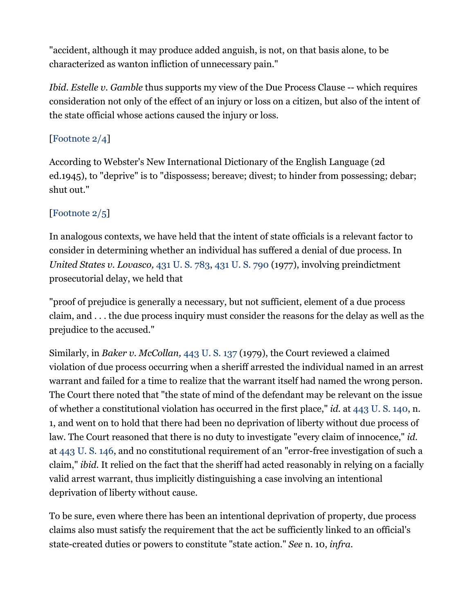"accident, although it may produce added anguish, is not, on that basis alone, to be characterized as wanton infliction of unnecessary pain."

*Ibid. Estelle v. Gamble* thus supports my view of the Due Process Clause -- which requires consideration not only of the effect of an injury or loss on a citizen, but also of the intent of the state official whose actions caused the injury or loss.

## <span id="page-20-0"></span>[\[Footnote 2/4\]](#page-17-2)

According to Webster's New International Dictionary of the English Language (2d ed.1945), to "deprive" is to "dispossess; bereave; divest; to hinder from possessing; debar; shut out."

## <span id="page-20-1"></span>[\[Footnote 2/5](#page-17-3)]

In analogous contexts, we have held that the intent of state officials is a relevant factor to consider in determining whether an individual has suffered a denial of due process. In *United States v. Lovasco,* [431 U. S. 783,](https://supreme.justia.com/cases/federal/us/431/783/case.html) [431 U. S. 790](https://supreme.justia.com/cases/federal/us/431/783/case.html#790) (1977), involving preindictment prosecutorial delay, we held that

"proof of prejudice is generally a necessary, but not sufficient, element of a due process claim, and . . . the due process inquiry must consider the reasons for the delay as well as the prejudice to the accused."

Similarly, in *Baker v. McCollan,* [443 U. S. 137](https://supreme.justia.com/cases/federal/us/443/137/case.html) (1979), the Court reviewed a claimed violation of due process occurring when a sheriff arrested the individual named in an arrest warrant and failed for a time to realize that the warrant itself had named the wrong person. The Court there noted that "the state of mind of the defendant may be relevant on the issue of whether a constitutional violation has occurred in the first place," *id.* at [443 U. S. 140,](https://supreme.justia.com/cases/federal/us/443/137/case.html#140) n. 1, and went on to hold that there had been no deprivation of liberty without due process of law. The Court reasoned that there is no duty to investigate "every claim of innocence," *id.* at [443 U. S. 146,](https://supreme.justia.com/cases/federal/us/443/137/case.html#146) and no constitutional requirement of an "error-free investigation of such a claim," *ibid.* It relied on the fact that the sheriff had acted reasonably in relying on a facially valid arrest warrant, thus implicitly distinguishing a case involving an intentional deprivation of liberty without cause.

To be sure, even where there has been an intentional deprivation of property, due process claims also must satisfy the requirement that the act be sufficiently linked to an official's state-created duties or powers to constitute "state action." *See* n. 10, *infra.*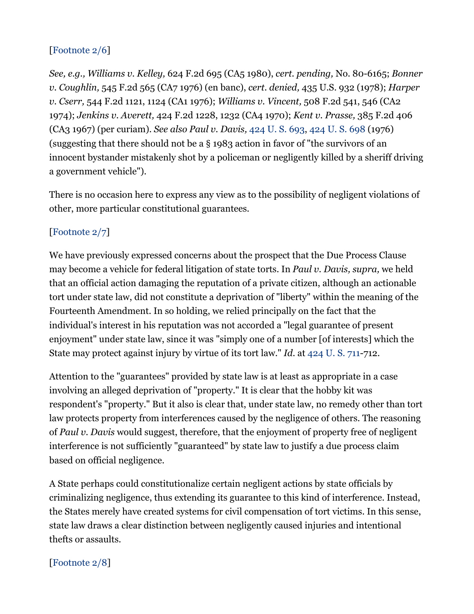### <span id="page-21-0"></span>[\[Footnote 2/6\]](#page-17-4)

*See, e.g., Williams v. Kelley,* 624 F.2d 695 (CA5 1980), *cert. pending,* No. 80-6165; *Bonner v. Coughlin,* 545 F.2d 565 (CA7 1976) (en banc), *cert. denied,* 435 U.S. 932 (1978); *Harper v. Cserr,* 544 F.2d 1121, 1124 (CA1 1976); *Williams v. Vincent,* 508 F.2d 541, 546 (CA2 1974); *Jenkins v. Averett,* 424 F.2d 1228, 1232 (CA4 1970); *Kent v. Prasse,* 385 F.2d 406 (CA3 1967) (per curiam). *See also Paul v. Davis,* [424 U. S. 693,](https://supreme.justia.com/cases/federal/us/424/693/case.html) [424 U. S. 698](https://supreme.justia.com/cases/federal/us/424/693/case.html#698) (1976) (suggesting that there should not be a § 1983 action in favor of "the survivors of an innocent bystander mistakenly shot by a policeman or negligently killed by a sheriff driving a government vehicle").

There is no occasion here to express any view as to the possibility of negligent violations of other, more particular constitutional guarantees.

## <span id="page-21-1"></span>[\[Footnote 2/7](#page-17-5)]

We have previously expressed concerns about the prospect that the Due Process Clause may become a vehicle for federal litigation of state torts. In *Paul v. Davis, supra,* we held that an official action damaging the reputation of a private citizen, although an actionable tort under state law, did not constitute a deprivation of "liberty" within the meaning of the Fourteenth Amendment. In so holding, we relied principally on the fact that the individual's interest in his reputation was not accorded a "legal guarantee of present enjoyment" under state law, since it was "simply one of a number [of interests] which the State may protect against injury by virtue of its tort law." *Id.* at [424 U. S. 711](https://supreme.justia.com/cases/federal/us/424/693/case.html#711)-712.

Attention to the "guarantees" provided by state law is at least as appropriate in a case involving an alleged deprivation of "property." It is clear that the hobby kit was respondent's "property." But it also is clear that, under state law, no remedy other than tort law protects property from interferences caused by the negligence of others. The reasoning of *Paul v. Davis* would suggest, therefore, that the enjoyment of property free of negligent interference is not sufficiently "guaranteed" by state law to justify a due process claim based on official negligence.

A State perhaps could constitutionalize certain negligent actions by state officials by criminalizing negligence, thus extending its guarantee to this kind of interference. Instead, the States merely have created systems for civil compensation of tort victims. In this sense, state law draws a clear distinction between negligently caused injuries and intentional thefts or assaults.

#### <span id="page-21-2"></span>[\[Footnote 2/8\]](#page-18-0)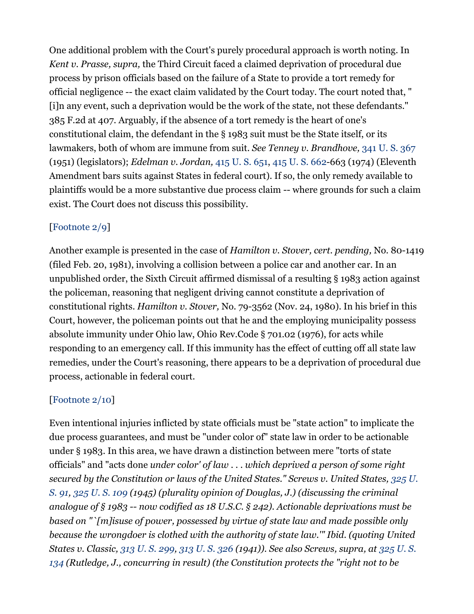One additional problem with the Court's purely procedural approach is worth noting. In *Kent v. Prasse, supra,* the Third Circuit faced a claimed deprivation of procedural due process by prison officials based on the failure of a State to provide a tort remedy for official negligence -- the exact claim validated by the Court today. The court noted that, " [i]n any event, such a deprivation would be the work of the state, not these defendants." 385 F.2d at 407. Arguably, if the absence of a tort remedy is the heart of one's constitutional claim, the defendant in the § 1983 suit must be the State itself, or its lawmakers, both of whom are immune from suit. *See Tenney v. Brandhove,* [341 U. S. 367](https://supreme.justia.com/cases/federal/us/341/367/case.html) (1951) (legislators); *Edelman v. Jordan,* [415 U. S. 651,](https://supreme.justia.com/cases/federal/us/415/651/case.html) [415 U. S. 662](https://supreme.justia.com/cases/federal/us/415/651/case.html#662)-663 (1974) (Eleventh Amendment bars suits against States in federal court). If so, the only remedy available to plaintiffs would be a more substantive due process claim -- where grounds for such a claim exist. The Court does not discuss this possibility.

## <span id="page-22-0"></span>[\[Footnote 2/9\]](#page-18-1)

Another example is presented in the case of *Hamilton v. Stover, cert. pending,* No. 80-1419 (filed Feb. 20, 1981), involving a collision between a police car and another car. In an unpublished order, the Sixth Circuit affirmed dismissal of a resulting § 1983 action against the policeman, reasoning that negligent driving cannot constitute a deprivation of constitutional rights. *Hamilton v. Stover,* No. 79-3562 (Nov. 24, 1980). In his brief in this Court, however, the policeman points out that he and the employing municipality possess absolute immunity under Ohio law, Ohio Rev.Code § 701.02 (1976), for acts while responding to an emergency call. If this immunity has the effect of cutting off all state law remedies, under the Court's reasoning, there appears to be a deprivation of procedural due process, actionable in federal court.

#### <span id="page-22-1"></span>[\[Footnote 2/10\]](#page-18-2)

Even intentional injuries inflicted by state officials must be "state action" to implicate the due process guarantees, and must be "under color of" state law in order to be actionable under § 1983. In this area, we have drawn a distinction between mere "torts of state officials" and "acts done *under color' of law . . . which deprived a person of some right secured by the Constitution or laws of the United States." Screws v. United States, 325 U. [S. 91, 325 U. S. 109 \(1945\) \(plurality opinion of Douglas, J.\) \(discussing the criminal](https://supreme.justia.com/cases/federal/us/325/91/case.html) analogue of § 1983 -- now codified as 18 U.S.C. § 242). Actionable deprivations must be based on "`[m]isuse of power, possessed by virtue of state law and made possible only because the wrongdoer is clothed with the authority of state law.'" Ibid. (quoting United States v. Classic, [313 U. S. 299,](https://supreme.justia.com/cases/federal/us/313/299/case.html) [313 U. S. 326](https://supreme.justia.com/cases/federal/us/313/299/case.html#326) (1941)). See also Screws, supra, at 325 U. S. [134 \(Rutledge, J., concurring in result\) \(the Constitution protects the "right not to be](https://supreme.justia.com/cases/federal/us/325/91/case.html#134)*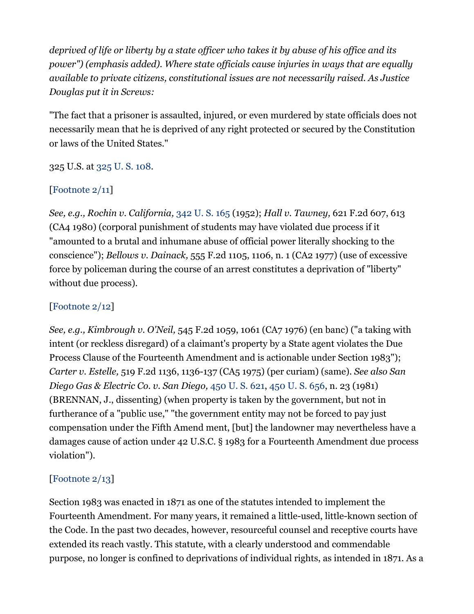*deprived of life or liberty by a state officer who takes it by abuse of his office and its power") (emphasis added). Where state officials cause injuries in ways that are equally available to private citizens, constitutional issues are not necessarily raised. As Justice Douglas put it in Screws:*

"The fact that a prisoner is assaulted, injured, or even murdered by state officials does not necessarily mean that he is deprived of any right protected or secured by the Constitution or laws of the United States."

325 U.S. at [325 U. S. 108.](https://supreme.justia.com/cases/federal/us/325/91/case.html#108)

#### <span id="page-23-0"></span>[\[Footnote 2/11\]](#page-19-4)

*See, e.g., Rochin v. California,* [342 U. S. 165](https://supreme.justia.com/cases/federal/us/342/165/case.html) (1952); *Hall v. Tawney,* 621 F.2d 607, 613 (CA4 1980) (corporal punishment of students may have violated due process if it "amounted to a brutal and inhumane abuse of official power literally shocking to the conscience"); *Bellows v. Dainack,* 555 F.2d 1105, 1106, n. 1 (CA2 1977) (use of excessive force by policeman during the course of an arrest constitutes a deprivation of "liberty" without due process).

## <span id="page-23-1"></span>[\[Footnote 2/12\]](#page-19-5)

*See, e.g., Kimbrough v. O'Neil,* 545 F.2d 1059, 1061 (CA7 1976) (en banc) ("a taking with intent (or reckless disregard) of a claimant's property by a State agent violates the Due Process Clause of the Fourteenth Amendment and is actionable under Section 1983"); *Carter v. Estelle,* 519 F.2d 1136, 1136-137 (CA5 1975) (per curiam) (same). *See also San Diego Gas & Electric Co. v. San Diego,* [450 U. S. 621](https://supreme.justia.com/cases/federal/us/450/621/case.html), [450 U. S. 656,](https://supreme.justia.com/cases/federal/us/450/621/case.html#656) n. 23 (1981) (BRENNAN, J., dissenting) (when property is taken by the government, but not in furtherance of a "public use," "the government entity may not be forced to pay just compensation under the Fifth Amend ment, [but] the landowner may nevertheless have a damages cause of action under 42 U.S.C. § 1983 for a Fourteenth Amendment due process violation").

#### <span id="page-23-2"></span>[\[Footnote 2/13\]](#page-19-6)

Section 1983 was enacted in 1871 as one of the statutes intended to implement the Fourteenth Amendment. For many years, it remained a little-used, little-known section of the Code. In the past two decades, however, resourceful counsel and receptive courts have extended its reach vastly. This statute, with a clearly understood and commendable purpose, no longer is confined to deprivations of individual rights, as intended in 1871. As a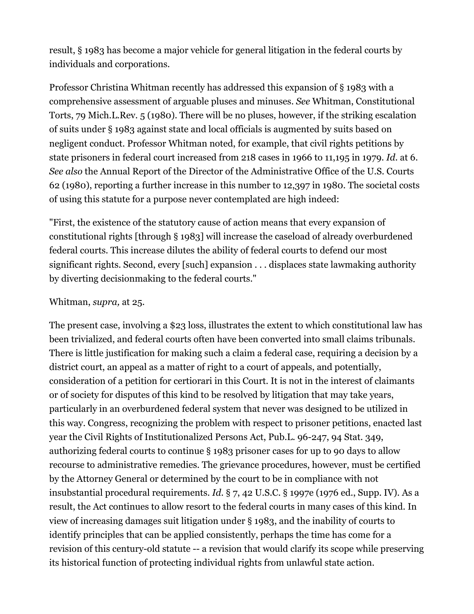result, § 1983 has become a major vehicle for general litigation in the federal courts by individuals and corporations.

Professor Christina Whitman recently has addressed this expansion of § 1983 with a comprehensive assessment of arguable pluses and minuses. *See* Whitman, Constitutional Torts, 79 Mich.L.Rev. 5 (1980). There will be no pluses, however, if the striking escalation of suits under § 1983 against state and local officials is augmented by suits based on negligent conduct. Professor Whitman noted, for example, that civil rights petitions by state prisoners in federal court increased from 218 cases in 1966 to 11,195 in 1979. *Id.* at 6. *See also* the Annual Report of the Director of the Administrative Office of the U.S. Courts 62 (1980), reporting a further increase in this number to 12,397 in 1980. The societal costs of using this statute for a purpose never contemplated are high indeed:

"First, the existence of the statutory cause of action means that every expansion of constitutional rights [through § 1983] will increase the caseload of already overburdened federal courts. This increase dilutes the ability of federal courts to defend our most significant rights. Second, every [such] expansion . . . displaces state lawmaking authority by diverting decisionmaking to the federal courts."

#### Whitman, *supra,* at 25.

The present case, involving a \$23 loss, illustrates the extent to which constitutional law has been trivialized, and federal courts often have been converted into small claims tribunals. There is little justification for making such a claim a federal case, requiring a decision by a district court, an appeal as a matter of right to a court of appeals, and potentially, consideration of a petition for certiorari in this Court. It is not in the interest of claimants or of society for disputes of this kind to be resolved by litigation that may take years, particularly in an overburdened federal system that never was designed to be utilized in this way. Congress, recognizing the problem with respect to prisoner petitions, enacted last year the Civil Rights of Institutionalized Persons Act, Pub.L. 96-247, 94 Stat. 349, authorizing federal courts to continue § 1983 prisoner cases for up to 90 days to allow recourse to administrative remedies. The grievance procedures, however, must be certified by the Attorney General or determined by the court to be in compliance with not insubstantial procedural requirements. *Id.* § 7, 42 U.S.C. § 1997e (1976 ed., Supp. IV). As a result, the Act continues to allow resort to the federal courts in many cases of this kind. In view of increasing damages suit litigation under § 1983, and the inability of courts to identify principles that can be applied consistently, perhaps the time has come for a revision of this century-old statute -- a revision that would clarify its scope while preserving its historical function of protecting individual rights from unlawful state action.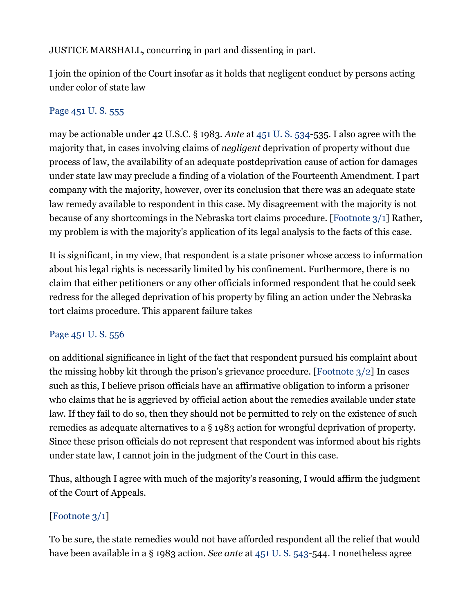JUSTICE MARSHALL, concurring in part and dissenting in part.

I join the opinion of the Court insofar as it holds that negligent conduct by persons acting under color of state law

## Page 451 U. S. 555

may be actionable under 42 U.S.C. § 1983. *Ante* at [451 U. S. 534-](#page-5-2)535. I also agree with the majority that, in cases involving claims of *negligent* deprivation of property without due process of law, the availability of an adequate postdeprivation cause of action for damages under state law may preclude a finding of a violation of the Fourteenth Amendment. I part company with the majority, however, over its conclusion that there was an adequate state law remedy available to respondent in this case. My disagreement with the majority is not because of any shortcomings in the Nebraska tort claims procedure. [[Footnote 3/1\]](#page-25-0) Rather, my problem is with the majority's application of its legal analysis to the facts of this case.

<span id="page-25-1"></span>It is significant, in my view, that respondent is a state prisoner whose access to information about his legal rights is necessarily limited by his confinement. Furthermore, there is no claim that either petitioners or any other officials informed respondent that he could seek redress for the alleged deprivation of his property by filing an action under the Nebraska tort claims procedure. This apparent failure takes

## Page 451 U. S. 556

<span id="page-25-2"></span>on additional significance in light of the fact that respondent pursued his complaint about the missing hobby kit through the prison's grievance procedure. [[Footnote 3/2](#page-26-0)] In cases such as this, I believe prison officials have an affirmative obligation to inform a prisoner who claims that he is aggrieved by official action about the remedies available under state law. If they fail to do so, then they should not be permitted to rely on the existence of such remedies as adequate alternatives to a § 1983 action for wrongful deprivation of property. Since these prison officials do not represent that respondent was informed about his rights under state law, I cannot join in the judgment of the Court in this case.

Thus, although I agree with much of the majority's reasoning, I would affirm the judgment of the Court of Appeals.

## <span id="page-25-0"></span>[\[Footnote 3/1](#page-25-1)]

To be sure, the state remedies would not have afforded respondent all the relief that would have been available in a § 1983 action. *See ante* at [451 U. S. 543](#page-11-0)-544. I nonetheless agree